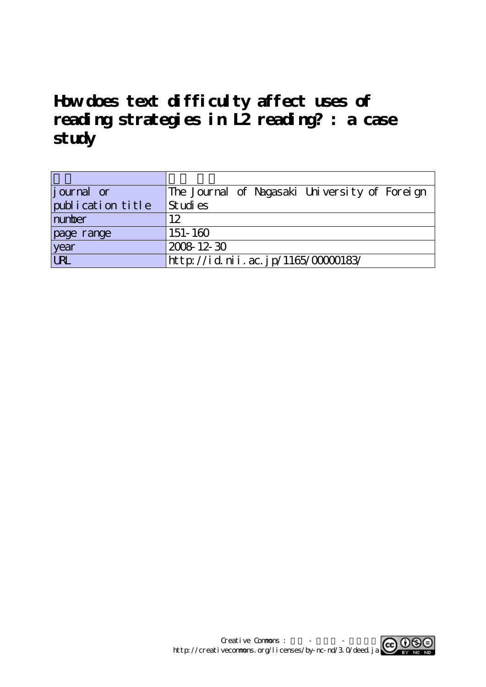# **How does text difficulty affect uses of reading strategies in L2 reading? : a case study**

| journal or        | The Journal of Nagasaki University of Foreign |
|-------------------|-----------------------------------------------|
| publication title | St udi es                                     |
| number            | 12                                            |
| page range        | $151 - 160$                                   |
| year              | 2008 12 30                                    |
| <b>LRL</b>        | http://id.nii.ac.jp/1165/00000183/            |

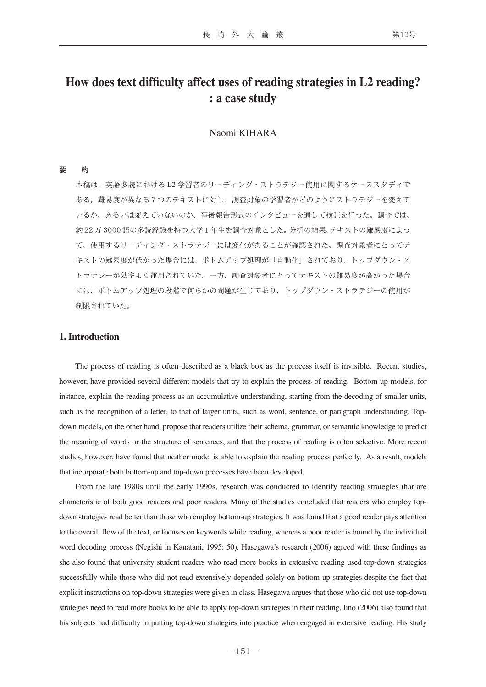# **How does text difficulty affect uses of reading strategies in L2 reading? : a case study**

## Naomi KIHARA

#### 要 約

本稿は、英語多読における L2 学習者のリーディング・ストラテジー使用に関するケーススタディで ある。難易度が異なる7つのテキストに対し、調査対象の学習者がどのようにストラテジーを変えて いるか、あるいは変えていないのか、事後報告形式のインタビューを通して検証を行った。調査では、 約 22万3000 語の多読経験を持つ大学 1 年生を調査対象とした。分析の結果、テキストの難易度によっ て、使用するリーディング・ストラテジーには変化があることが確認された。調査対象者にとってテ キストの難易度が低かった場合には、ボトムアップ処理が「自動化」されており、トップダウン・ス トラテジーが効率よく運用されていた。一方、調査対象者にとってテキストの難易度が高かった場合 には、ボトムアップ処理の段階で何らかの問題が生じており、トップダウン・ストラテジーの使用が 制限されていた。

## **1. Introduction**

The process of reading is often described as a black box as the process itself is invisible. Recent studies, however, have provided several different models that try to explain the process of reading. Bottom-up models, for instance, explain the reading process as an accumulative understanding, starting from the decoding of smaller units, such as the recognition of a letter, to that of larger units, such as word, sentence, or paragraph understanding. Topdown models, on the other hand, propose that readers utilize their schema, grammar, or semantic knowledge to predict the meaning of words or the structure of sentences, and that the process of reading is often selective. More recent studies, however, have found that neither model is able to explain the reading process perfectly. As a result, models that incorporate both bottom-up and top-down processes have been developed.

From the late 1980s until the early 1990s, research was conducted to identify reading strategies that are characteristic of both good readers and poor readers. Many of the studies concluded that readers who employ topdown strategies read better than those who employ bottom-up strategies. It was found that a good reader pays attention to the overall flow of the text, or focuses on keywords while reading, whereas a poor reader is bound by the individual word decoding process (Negishi in Kanatani, 1995: 50). Hasegawa's research (2006) agreed with these findings as she also found that university student readers who read more books in extensive reading used top-down strategies successfully while those who did not read extensively depended solely on bottom-up strategies despite the fact that explicit instructions on top-down strategies were given in class. Hasegawa argues that those who did not use top-down strategies need to read more books to be able to apply top-down strategies in their reading. Iino (2006) also found that his subjects had difficulty in putting top-down strategies into practice when engaged in extensive reading. His study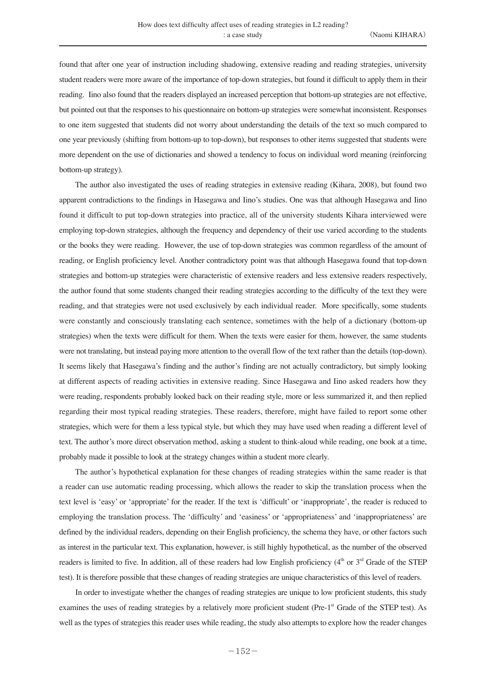found that after one year of instruction including shadowing, extensive reading and reading strategies, university student readers were more aware of the importance of top-down strategies, but found it difficult to apply them in their reading. Iino also found that the readers displayed an increased perception that bottom-up strategies are not effective, but pointed out that the responses to his questionnaire on bottom-up strategies were somewhat inconsistent. Responses to one item suggested that students did not worry about understanding the details of the text so much compared to one year previously (shifting from bottom-up to top-down), but responses to other items suggested that students were more dependent on the use of dictionaries and showed a tendency to focus on individual word meaning (reinforcing bottom-up strategy).

The author also investigated the uses of reading strategies in extensive reading (Kihara, 2008), but found two apparent contradictions to the findings in Hasegawa and Iino's studies. One was that although Hasegawa and Iino found it difficult to put top-down strategies into practice, all of the university students Kihara interviewed were employing top-down strategies, although the frequency and dependency of their use varied according to the students or the books they were reading. However, the use of top-down strategies was common regardless of the amount of reading, or English proficiency level. Another contradictory point was that although Hasegawa found that top-down strategies and bottom-up strategies were characteristic of extensive readers and less extensive readers respectively, the author found that some students changed their reading strategies according to the difficulty of the text they were reading, and that strategies were not used exclusively by each individual reader. More specifically, some students were constantly and consciously translating each sentence, sometimes with the help of a dictionary (bottom-up strategies) when the texts were difficult for them. When the texts were easier for them, however, the same students were not translating, but instead paying more attention to the overall flow of the text rather than the details (top-down). It seems likely that Hasegawa's finding and the author's finding are not actually contradictory, but simply looking at different aspects of reading activities in extensive reading. Since Hasegawa and Iino asked readers how they were reading, respondents probably looked back on their reading style, more or less summarized it, and then replied regarding their most typical reading strategies. These readers, therefore, might have failed to report some other strategies, which were for them a less typical style, but which they may have used when reading a different level of text. The author's more direct observation method, asking a student to think-aloud while reading, one book at a time, probably made it possible to look at the strategy changes within a student more clearly.

The author's hypothetical explanation for these changes of reading strategies within the same reader is that a reader can use automatic reading processing, which allows the reader to skip the translation process when the text level is 'easy' or 'appropriate' for the reader. If the text is 'difficult' or 'inappropriate', the reader is reduced to employing the translation process. The 'difficulty' and 'easiness' or 'appropriateness' and 'inappropriateness' are defined by the individual readers, depending on their English proficiency, the schema they have, or other factors such as interest in the particular text. This explanation, however, is still highly hypothetical, as the number of the observed readers is limited to five. In addition, all of these readers had low English proficiency (4<sup>th</sup> or 3<sup>rd</sup> Grade of the STEP test). It is therefore possible that these changes of reading strategies are unique characteristics of this level of readers.

In order to investigate whether the changes of reading strategies are unique to low proficient students, this study examines the uses of reading strategies by a relatively more proficient student (Pre-1<sup>st</sup> Grade of the STEP test). As well as the types of strategies this reader uses while reading, the study also attempts to explore how the reader changes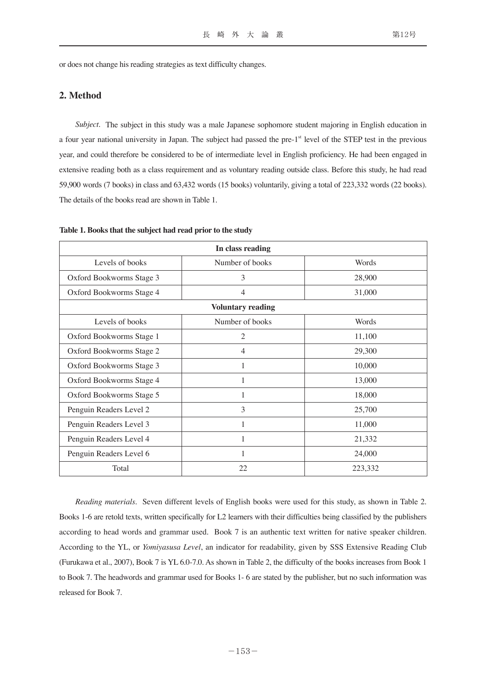or does not change his reading strategies as text difficulty changes.

### **2. Method**

*Subject.* The subject in this study was a male Japanese sophomore student majoring in English education in a four year national university in Japan. The subject had passed the pre- $1<sup>st</sup>$  level of the STEP test in the previous year, and could therefore be considered to be of intermediate level in English proficiency. He had been engaged in extensive reading both as a class requirement and as voluntary reading outside class. Before this study, he had read 59,900 words (7 books) in class and 63,432 words (15 books) voluntarily, giving a total of 223,332 words (22 books). The details of the books read are shown in Table 1.

| In class reading         |                 |         |  |  |  |
|--------------------------|-----------------|---------|--|--|--|
| Levels of books          | Number of books | Words   |  |  |  |
| Oxford Bookworms Stage 3 | 3               | 28,900  |  |  |  |
| Oxford Bookworms Stage 4 | 4               | 31,000  |  |  |  |
| <b>Voluntary reading</b> |                 |         |  |  |  |
| Levels of books          | Number of books | Words   |  |  |  |
| Oxford Bookworms Stage 1 | 2               | 11,100  |  |  |  |
| Oxford Bookworms Stage 2 | 4               | 29,300  |  |  |  |
| Oxford Bookworms Stage 3 | 1               | 10,000  |  |  |  |
| Oxford Bookworms Stage 4 |                 | 13,000  |  |  |  |
| Oxford Bookworms Stage 5 | 1               | 18,000  |  |  |  |
| Penguin Readers Level 2  | 3               | 25,700  |  |  |  |
| Penguin Readers Level 3  | 1               | 11,000  |  |  |  |
| Penguin Readers Level 4  | 1               | 21,332  |  |  |  |
| Penguin Readers Level 6  | 1               | 24,000  |  |  |  |
| Total                    | 22              | 223,332 |  |  |  |

**Table 1. Books that the subject had read prior to the study**

*Reading materials*. Seven different levels of English books were used for this study, as shown in Table 2. Books 1-6 are retold texts, written specifically for L2 learners with their difficulties being classified by the publishers according to head words and grammar used. Book 7 is an authentic text written for native speaker children. According to the YL, or *Yomiyasusa Level*, an indicator for readability, given by SSS Extensive Reading Club (Furukawa et al., 2007), Book 7 is YL 6.0-7.0. As shown in Table 2, the difficulty of the books increases from Book 1 to Book 7. The headwords and grammar used for Books 1- 6 are stated by the publisher, but no such information was released for Book 7.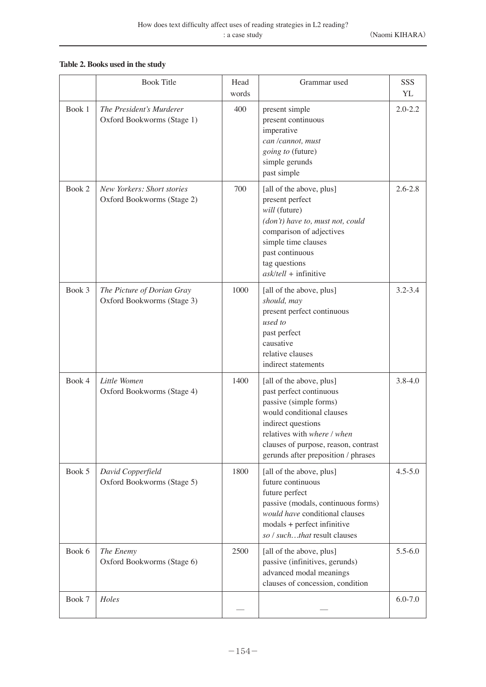# **Table 2. Books used in the study**

|        | <b>Book Title</b>                                        | Head<br>words | Grammar used                                                                                                                                                                                                                                   | SSS<br>YL   |
|--------|----------------------------------------------------------|---------------|------------------------------------------------------------------------------------------------------------------------------------------------------------------------------------------------------------------------------------------------|-------------|
| Book 1 | The President's Murderer<br>Oxford Bookworms (Stage 1)   | 400           | present simple<br>present continuous<br>imperative<br>can /cannot, must<br>going to (future)<br>simple gerunds<br>past simple                                                                                                                  | $2.0 - 2.2$ |
| Book 2 | New Yorkers: Short stories<br>Oxford Bookworms (Stage 2) | 700           | [all of the above, plus]<br>present perfect<br>will (future)<br>(don't) have to, must not, could<br>comparison of adjectives<br>simple time clauses<br>past continuous<br>tag questions<br>$ask/tell +$ infinitive                             | $2.6 - 2.8$ |
| Book 3 | The Picture of Dorian Gray<br>Oxford Bookworms (Stage 3) | 1000          | [all of the above, plus]<br>should, may<br>present perfect continuous<br>used to<br>past perfect<br>causative<br>relative clauses<br>indirect statements                                                                                       | $3.2 - 3.4$ |
| Book 4 | Little Women<br>Oxford Bookworms (Stage 4)               | 1400          | [all of the above, plus]<br>past perfect continuous<br>passive (simple forms)<br>would conditional clauses<br>indirect questions<br>relatives with where / when<br>clauses of purpose, reason, contrast<br>gerunds after preposition / phrases | $3.8 - 4.0$ |
| Book 5 | David Copperfield<br>Oxford Bookworms (Stage 5)          | 1800          | [all of the above, plus]<br>future continuous<br>future perfect<br>passive (modals, continuous forms)<br>would have conditional clauses<br>modals + perfect infinitive<br>so / suchthat result clauses                                         | $4.5 - 5.0$ |
| Book 6 | The Enemy<br>Oxford Bookworms (Stage 6)                  | 2500          | [all of the above, plus]<br>passive (infinitives, gerunds)<br>advanced modal meanings<br>clauses of concession, condition                                                                                                                      | $5.5 - 6.0$ |
| Book 7 | Holes                                                    |               |                                                                                                                                                                                                                                                | $6.0 - 7.0$ |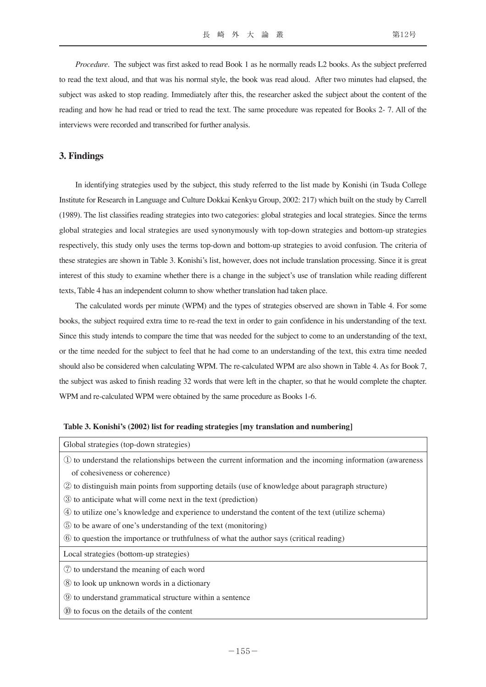*Procedure*. The subject was first asked to read Book 1 as he normally reads L2 books. As the subject preferred to read the text aloud, and that was his normal style, the book was read aloud. After two minutes had elapsed, the subject was asked to stop reading. Immediately after this, the researcher asked the subject about the content of the reading and how he had read or tried to read the text. The same procedure was repeated for Books 2- 7. All of the interviews were recorded and transcribed for further analysis.

# **3. Findings**

In identifying strategies used by the subject, this study referred to the list made by Konishi (in Tsuda College Institute for Research in Language and Culture Dokkai Kenkyu Group, 2002: 217) which built on the study by Carrell (1989). The list classifies reading strategies into two categories: global strategies and local strategies. Since the terms global strategies and local strategies are used synonymously with top-down strategies and bottom-up strategies respectively, this study only uses the terms top-down and bottom-up strategies to avoid confusion. The criteria of these strategies are shown in Table 3. Konishi's list, however, does not include translation processing. Since it is great interest of this study to examine whether there is a change in the subject's use of translation while reading different texts, Table 4 has an independent column to show whether translation had taken place.

The calculated words per minute (WPM) and the types of strategies observed are shown in Table 4. For some books, the subject required extra time to re-read the text in order to gain confidence in his understanding of the text. Since this study intends to compare the time that was needed for the subject to come to an understanding of the text, or the time needed for the subject to feel that he had come to an understanding of the text, this extra time needed should also be considered when calculating WPM. The re-calculated WPM are also shown in Table 4. As for Book 7, the subject was asked to finish reading 32 words that were left in the chapter, so that he would complete the chapter. WPM and re-calculated WPM were obtained by the same procedure as Books 1-6.

| Global strategies (top-down strategies)                                                                    |
|------------------------------------------------------------------------------------------------------------|
| 1) to understand the relationships between the current information and the incoming information (awareness |
| of cohesiveness or coherence)                                                                              |
| 2 to distinguish main points from supporting details (use of knowledge about paragraph structure)          |
| 3 to anticipate what will come next in the text (prediction)                                               |
| 4) to utilize one's knowledge and experience to understand the content of the text (utilize schema)        |
| 5 to be aware of one's understanding of the text (monitoring)                                              |
| 6 to question the importance or truthfulness of what the author says (critical reading)                    |
| Local strategies (bottom-up strategies)                                                                    |
| 7 to understand the meaning of each word                                                                   |
| (8) to look up unknown words in a dictionary                                                               |
| <b>9</b> to understand grammatical structure within a sentence                                             |
| (10) to focus on the details of the content                                                                |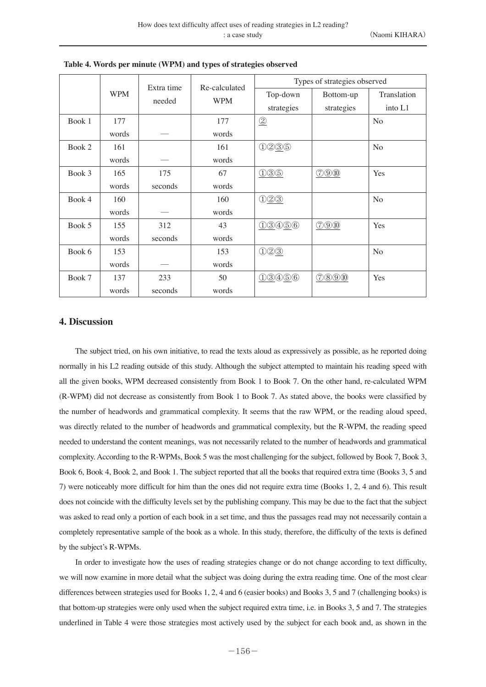|        | <b>WPM</b> | Extra time<br>needed | Re-calculated<br><b>WPM</b> | Types of strategies observed     |            |                |
|--------|------------|----------------------|-----------------------------|----------------------------------|------------|----------------|
|        |            |                      |                             | Top-down                         | Bottom-up  | Translation    |
|        |            |                      |                             | strategies                       | strategies | into L1        |
| Book 1 | 177        |                      | 177                         | $\circled{2}$                    |            | N <sub>o</sub> |
|        | words      |                      | words                       |                                  |            |                |
| Book 2 | 161        |                      | 161                         | 0295                             |            | No             |
|        | words      |                      | words                       |                                  |            |                |
| Book 3 | 165        | 175                  | 67                          | 035                              | O(900)     | Yes            |
|        | words      | seconds              | words                       |                                  |            |                |
| Book 4 | 160        |                      | 160                         | 023                              |            | N <sub>o</sub> |
|        | words      |                      | words                       |                                  |            |                |
| Book 5 | 155        | 312                  | 43                          | 0.3456                           | O(900)     | Yes            |
|        | words      | seconds              | words                       |                                  |            |                |
| Book 6 | 153        |                      | 153                         | $\bigcirc$ $\bigcirc$ $\bigcirc$ |            | N <sub>o</sub> |
|        | words      |                      | words                       |                                  |            |                |
| Book 7 | 137        | 233                  | 50                          | 0.3456                           | (70000)    | Yes            |
|        | words      | seconds              | words                       |                                  |            |                |

**Table 4. Words per minute (WPM) and types of strategies observed**

#### **4. Discussion**

The subject tried, on his own initiative, to read the texts aloud as expressively as possible, as he reported doing normally in his L2 reading outside of this study. Although the subject attempted to maintain his reading speed with all the given books, WPM decreased consistently from Book 1 to Book 7. On the other hand, re-calculated WPM (R-WPM) did not decrease as consistently from Book 1 to Book 7. As stated above, the books were classified by the number of headwords and grammatical complexity. It seems that the raw WPM, or the reading aloud speed, was directly related to the number of headwords and grammatical complexity, but the R-WPM, the reading speed needed to understand the content meanings, was not necessarily related to the number of headwords and grammatical complexity. According to the R-WPMs, Book 5 was the most challenging for the subject, followed by Book 7, Book 3, Book 6, Book 4, Book 2, and Book 1. The subject reported that all the books that required extra time (Books 3, 5 and 7) were noticeably more difficult for him than the ones did not require extra time (Books 1, 2, 4 and 6). This result does not coincide with the difficulty levels set by the publishing company. This may be due to the fact that the subject was asked to read only a portion of each book in a set time, and thus the passages read may not necessarily contain a completely representative sample of the book as a whole. In this study, therefore, the difficulty of the texts is defined by the subject's R-WPMs.

In order to investigate how the uses of reading strategies change or do not change according to text difficulty, we will now examine in more detail what the subject was doing during the extra reading time. One of the most clear differences between strategies used for Books 1, 2, 4 and 6 (easier books) and Books 3, 5 and 7 (challenging books) is that bottom-up strategies were only used when the subject required extra time, i.e. in Books 3, 5 and 7. The strategies underlined in Table 4 were those strategies most actively used by the subject for each book and, as shown in the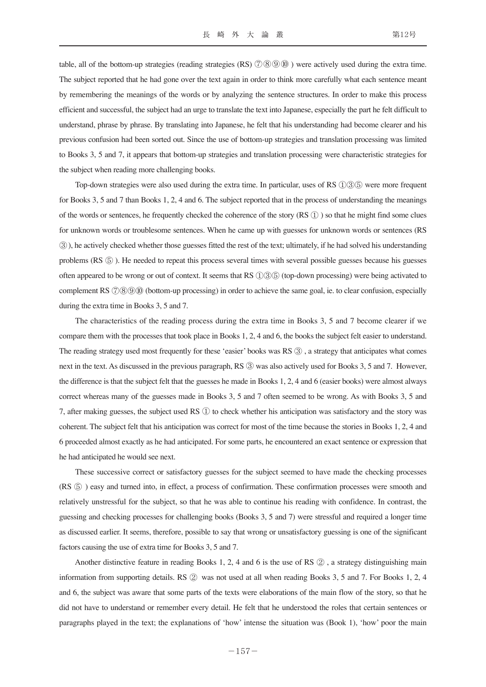table, all of the bottom-up strategies (reading strategies  $(RS)$   $(7)$   $(8)$   $(9)$   $(0)$ ) were actively used during the extra time. The subject reported that he had gone over the text again in order to think more carefully what each sentence meant by remembering the meanings of the words or by analyzing the sentence structures. In order to make this process efficient and successful, the subject had an urge to translate the text into Japanese, especially the part he felt difficult to understand, phrase by phrase. By translating into Japanese, he felt that his understanding had become clearer and his previous confusion had been sorted out. Since the use of bottom-up strategies and translation processing was limited to Books 3, 5 and 7, it appears that bottom-up strategies and translation processing were characteristic strategies for the subject when reading more challenging books.

Top-down strategies were also used during the extra time. In particular, uses of RS  $(1)3(5)$  were more frequent for Books 3, 5 and 7 than Books 1, 2, 4 and 6. The subject reported that in the process of understanding the meanings of the words or sentences, he frequently checked the coherence of the story  $(RS \rvert N)$  so that he might find some clues for unknown words or troublesome sentences. When he came up with guesses for unknown words or sentences (RS ③), he actively checked whether those guesses fitted the rest of the text; ultimately, if he had solved his understanding problems (RS ⑤ ). He needed to repeat this process several times with several possible guesses because his guesses often appeared to be wrong or out of context. It seems that RS ①③⑤ (top-down processing) were being activated to complement RS ( $\sqrt{2}$ )( $\odot$ )( $\odot$ )(bottom-up processing) in order to achieve the same goal, ie. to clear confusion, especially during the extra time in Books 3, 5 and 7.

The characteristics of the reading process during the extra time in Books 3, 5 and 7 become clearer if we compare them with the processes that took place in Books 1, 2, 4 and 6, the books the subject felt easier to understand. The reading strategy used most frequently for these 'easier' books was RS ③ , a strategy that anticipates what comes next in the text. As discussed in the previous paragraph, RS ③ was also actively used for Books 3, 5 and 7. However, the difference is that the subject felt that the guesses he made in Books 1, 2, 4 and 6 (easier books) were almost always correct whereas many of the guesses made in Books 3, 5 and 7 often seemed to be wrong. As with Books 3, 5 and 7, after making guesses, the subject used RS ① to check whether his anticipation was satisfactory and the story was coherent. The subject felt that his anticipation was correct for most of the time because the stories in Books 1, 2, 4 and 6 proceeded almost exactly as he had anticipated. For some parts, he encountered an exact sentence or expression that he had anticipated he would see next.

These successive correct or satisfactory guesses for the subject seemed to have made the checking processes (RS ⑤ ) easy and turned into, in effect, a process of confirmation. These confirmation processes were smooth and relatively unstressful for the subject, so that he was able to continue his reading with confidence. In contrast, the guessing and checking processes for challenging books (Books 3, 5 and 7) were stressful and required a longer time as discussed earlier. It seems, therefore, possible to say that wrong or unsatisfactory guessing is one of the significant factors causing the use of extra time for Books 3, 5 and 7.

Another distinctive feature in reading Books 1, 2, 4 and 6 is the use of RS ② , a strategy distinguishing main information from supporting details. RS ② was not used at all when reading Books 3, 5 and 7. For Books 1, 2, 4 and 6, the subject was aware that some parts of the texts were elaborations of the main flow of the story, so that he did not have to understand or remember every detail. He felt that he understood the roles that certain sentences or paragraphs played in the text; the explanations of 'how' intense the situation was (Book 1), 'how' poor the main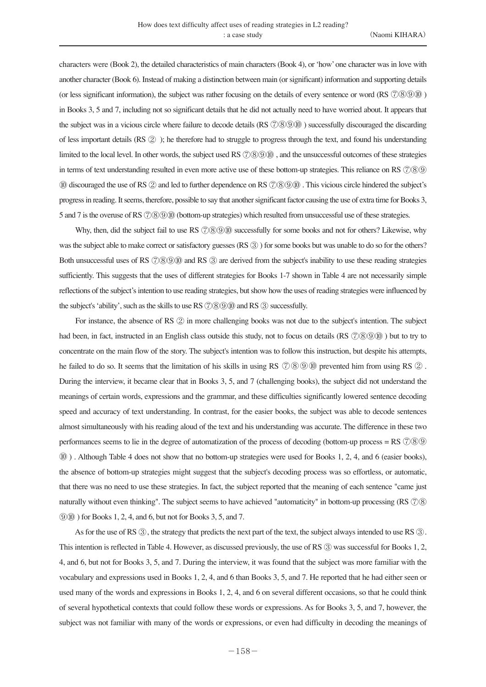characters were (Book 2), the detailed characteristics of main characters (Book 4), or 'how' one character was in love with another character (Book 6). Instead of making a distinction between main (or significant) information and supporting details (or less significant information), the subject was rather focusing on the details of every sentence or word (RS  $(7)(8)(9)(0)$ ) in Books 3, 5 and 7, including not so significant details that he did not actually need to have worried about. It appears that the subject was in a vicious circle where failure to decode details  $(RS \oslash \mathcal{O} \oslash \mathcal{O} \oslash \mathcal{O})$  successfully discouraged the discarding of less important details (RS ② ); he therefore had to struggle to progress through the text, and found his understanding limited to the local level. In other words, the subject used RS  $\textcircled{7000}$  , and the unsuccessful outcomes of these strategies in terms of text understanding resulted in even more active use of these bottom-up strategies. This reliance on RS ⑦⑧⑨ ⑩ discouraged the use of RS ② and led to further dependence on RS ⑦⑧⑨⑩ . This vicious circle hindered the subject's progress in reading. It seems, therefore, possible to say that another significant factor causing the use of extra time for Books 3, 5 and 7 is the overuse of RS  $\Diamond$  \toward{\sigma\_of}} (bottom-up strategies) which resulted from unsuccessful use of these strategies.

Why, then, did the subject fail to use RS  $\hat{\mathcal{O}}(8)$  (i) successfully for some books and not for others? Likewise, why was the subject able to make correct or satisfactory guesses (RS  $\circled{3}$ ) for some books but was unable to do so for the others? Both unsuccessful uses of RS  $\hat{\mathcal{O}}(8900)$  and RS  $\hat{\mathcal{O}}$  are derived from the subject's inability to use these reading strategies sufficiently. This suggests that the uses of different strategies for Books 1-7 shown in Table 4 are not necessarily simple reflections of the subject's intention to use reading strategies, but show how the uses of reading strategies were influenced by the subject's 'ability', such as the skills to use RS  $(2)$  @ $(0)$  and RS  $(3)$  successfully.

For instance, the absence of RS ② in more challenging books was not due to the subject's intention. The subject had been, in fact, instructed in an English class outside this study, not to focus on details (RS  $\Diamond$  \to \text{ to try to \text{ to try to \text{ to try to \text{ to the study}}. concentrate on the main flow of the story. The subject's intention was to follow this instruction, but despite his attempts, he failed to do so. It seems that the limitation of his skills in using RS  $\oslash$   $\oslash$   $\oslash$   $\oslash$  prevented him from using RS  $\oslash$ . During the interview, it became clear that in Books 3, 5, and 7 (challenging books), the subject did not understand the meanings of certain words, expressions and the grammar, and these difficulties significantly lowered sentence decoding speed and accuracy of text understanding. In contrast, for the easier books, the subject was able to decode sentences almost simultaneously with his reading aloud of the text and his understanding was accurate. The difference in these two performances seems to lie in the degree of automatization of the process of decoding (bottom-up process = RS ⑦⑧⑨ ⑩ ) . Although Table 4 does not show that no bottom-up strategies were used for Books 1, 2, 4, and 6 (easier books), the absence of bottom-up strategies might suggest that the subject's decoding process was so effortless, or automatic, that there was no need to use these strategies. In fact, the subject reported that the meaning of each sentence "came just naturally without even thinking". The subject seems to have achieved "automaticity" in bottom-up processing (RS ⑦⑧ ⑨⑩ ) for Books 1, 2, 4, and 6, but not for Books 3, 5, and 7.

As for the use of RS  $\circled{3}$ , the strategy that predicts the next part of the text, the subject always intended to use RS  $\circled{3}$ . This intention is reflected in Table 4. However, as discussed previously, the use of RS ③ was successful for Books 1, 2, 4, and 6, but not for Books 3, 5, and 7. During the interview, it was found that the subject was more familiar with the vocabulary and expressions used in Books 1, 2, 4, and 6 than Books 3, 5, and 7. He reported that he had either seen or used many of the words and expressions in Books 1, 2, 4, and 6 on several different occasions, so that he could think of several hypothetical contexts that could follow these words or expressions. As for Books 3, 5, and 7, however, the subject was not familiar with many of the words or expressions, or even had difficulty in decoding the meanings of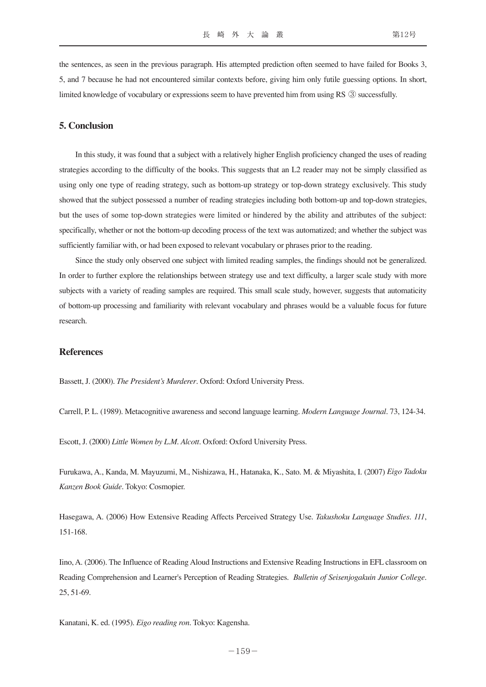the sentences, as seen in the previous paragraph. His attempted prediction often seemed to have failed for Books 3, 5, and 7 because he had not encountered similar contexts before, giving him only futile guessing options. In short, limited knowledge of vocabulary or expressions seem to have prevented him from using RS ③ successfully.

#### **5. Conclusion**

In this study, it was found that a subject with a relatively higher English proficiency changed the uses of reading strategies according to the difficulty of the books. This suggests that an L2 reader may not be simply classified as using only one type of reading strategy, such as bottom-up strategy or top-down strategy exclusively. This study showed that the subject possessed a number of reading strategies including both bottom-up and top-down strategies, but the uses of some top-down strategies were limited or hindered by the ability and attributes of the subject: specifically, whether or not the bottom-up decoding process of the text was automatized; and whether the subject was sufficiently familiar with, or had been exposed to relevant vocabulary or phrases prior to the reading.

Since the study only observed one subject with limited reading samples, the findings should not be generalized. In order to further explore the relationships between strategy use and text difficulty, a larger scale study with more subjects with a variety of reading samples are required. This small scale study, however, suggests that automaticity of bottom-up processing and familiarity with relevant vocabulary and phrases would be a valuable focus for future research.

#### **References**

Bassett, J. (2000). *The President's Murderer*. Oxford: Oxford University Press.

Carrell, P. L. (1989). Metacognitive awareness and second language learning. *Modern Language Journal.* 73, 124-34.

Escott, J. (2000) *Little Women by L.M. Alcott*. Oxford: Oxford University Press.

Furukawa, A., Kanda, M. Mayuzumi, M., Nishizawa, H., Hatanaka, K., Sato. M. & Miyashita, I. (2007) *Eigo Tadoku Kanzen Book Guide*. Tokyo: Cosmopier.

Hasegawa, A. (2006) How Extensive Reading Affects Perceived Strategy Use. *Takushoku Language Studies. 111*, 151-168.

Iino, A. (2006). The Influence of Reading Aloud Instructions and Extensive Reading Instructions in EFL classroom on Reading Comprehension and Learner's Perception of Reading Strategies. *Bulletin of Seisenjogakuin Junior College.*  25, 51-69.

Kanatani, K. ed. (1995). *Eigo reading ron*. Tokyo: Kagensha.